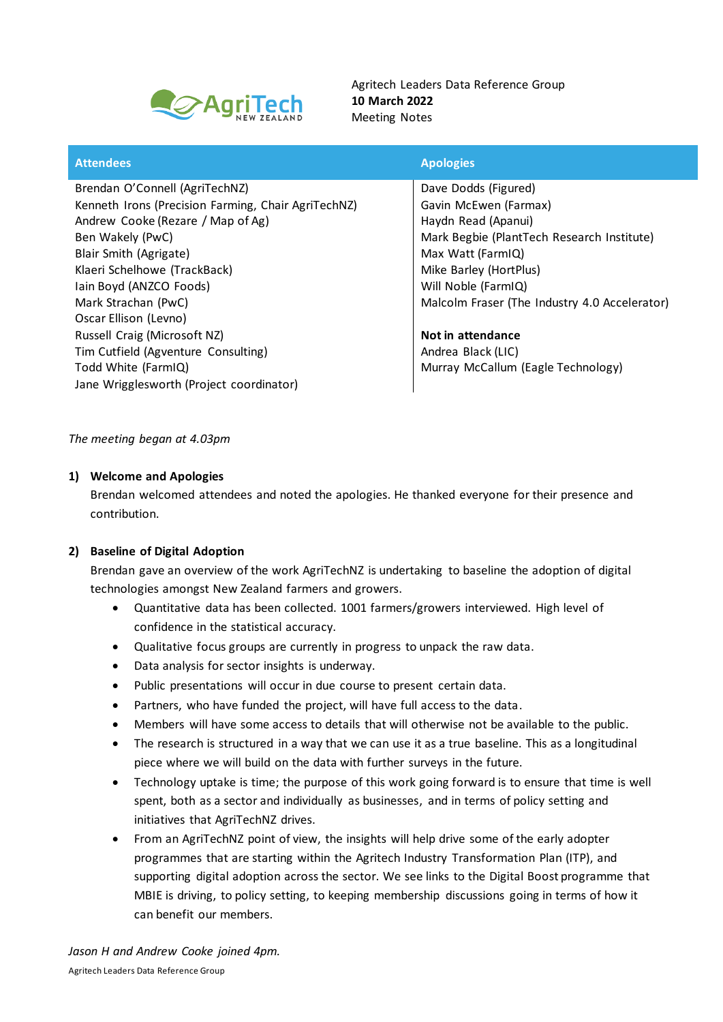

Agritech Leaders Data Reference Group **10 March 2022** Meeting Notes

| <b>Apologies</b>                              |
|-----------------------------------------------|
| Dave Dodds (Figured)                          |
| Gavin McEwen (Farmax)                         |
| Haydn Read (Apanui)                           |
| Mark Begbie (PlantTech Research Institute)    |
| Max Watt (FarmIQ)                             |
| Mike Barley (HortPlus)                        |
| Will Noble (FarmIQ)                           |
| Malcolm Fraser (The Industry 4.0 Accelerator) |
|                                               |
| Not in attendance                             |
| Andrea Black (LIC)                            |
| Murray McCallum (Eagle Technology)            |
|                                               |
|                                               |

# *The meeting began at 4.03pm*

#### **1) Welcome and Apologies**

Brendan welcomed attendees and noted the apologies. He thanked everyone for their presence and contribution.

# **2) Baseline of Digital Adoption**

Brendan gave an overview of the work AgriTechNZ is undertaking to baseline the adoption of digital technologies amongst New Zealand farmers and growers.

- Quantitative data has been collected. 1001 farmers/growers interviewed. High level of confidence in the statistical accuracy.
- Qualitative focus groups are currently in progress to unpack the raw data.
- Data analysis for sector insights is underway.
- Public presentations will occur in due course to present certain data.
- Partners, who have funded the project, will have full access to the data.
- Members will have some access to details that will otherwise not be available to the public.
- The research is structured in a way that we can use it as a true baseline. This as a longitudinal piece where we will build on the data with further surveys in the future.
- Technology uptake is time; the purpose of this work going forward is to ensure that time is well spent, both as a sector and individually as businesses, and in terms of policy setting and initiatives that AgriTechNZ drives.
- From an AgriTechNZ point of view, the insights will help drive some of the early adopter programmes that are starting within the Agritech Industry Transformation Plan (ITP), and supporting digital adoption across the sector. We see links to the Digital Boost programme that MBIE is driving, to policy setting, to keeping membership discussions going in terms of how it can benefit our members.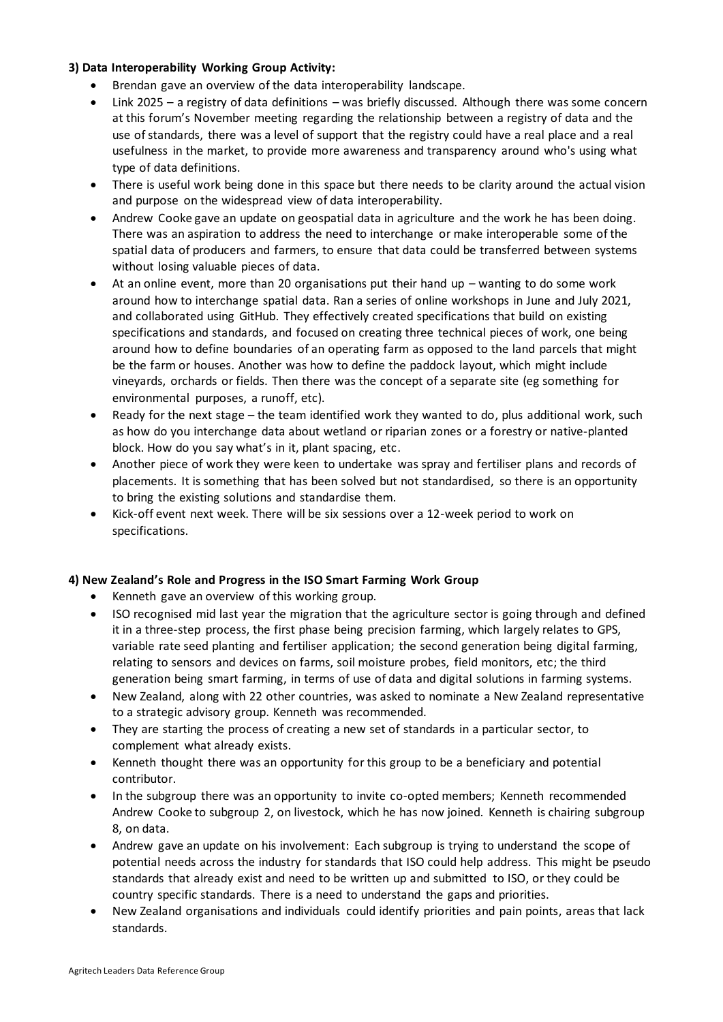# **3) Data Interoperability Working Group Activity:**

- Brendan gave an overview of the data interoperability landscape.
- Link 2025 a registry of data definitions was briefly discussed. Although there was some concern at this forum's November meeting regarding the relationship between a registry of data and the use of standards, there was a level of support that the registry could have a real place and a real usefulness in the market, to provide more awareness and transparency around who's using what type of data definitions.
- There is useful work being done in this space but there needs to be clarity around the actual vision and purpose on the widespread view of data interoperability.
- Andrew Cooke gave an update on geospatial data in agriculture and the work he has been doing. There was an aspiration to address the need to interchange or make interoperable some of the spatial data of producers and farmers, to ensure that data could be transferred between systems without losing valuable pieces of data.
- At an online event, more than 20 organisations put their hand up wanting to do some work around how to interchange spatial data. Ran a series of online workshops in June and July 2021, and collaborated using GitHub. They effectively created specifications that build on existing specifications and standards, and focused on creating three technical pieces of work, one being around how to define boundaries of an operating farm as opposed to the land parcels that might be the farm or houses. Another was how to define the paddock layout, which might include vineyards, orchards or fields. Then there was the concept of a separate site (eg something for environmental purposes, a runoff, etc).
- Ready for the next stage the team identified work they wanted to do, plus additional work, such as how do you interchange data about wetland or riparian zones or a forestry or native-planted block. How do you say what's in it, plant spacing, etc.
- Another piece of work they were keen to undertake was spray and fertiliser plans and records of placements. It is something that has been solved but not standardised, so there is an opportunity to bring the existing solutions and standardise them.
- Kick-off event next week. There will be six sessions over a 12-week period to work on specifications.

# **4) New Zealand's Role and Progress in the ISO Smart Farming Work Group**

- Kenneth gave an overview of this working group.
- ISO recognised mid last year the migration that the agriculture sector is going through and defined it in a three-step process, the first phase being precision farming, which largely relates to GPS, variable rate seed planting and fertiliser application; the second generation being digital farming, relating to sensors and devices on farms, soil moisture probes, field monitors, etc; the third generation being smart farming, in terms of use of data and digital solutions in farming systems.
- New Zealand, along with 22 other countries, was asked to nominate a New Zealand representative to a strategic advisory group. Kenneth was recommended.
- They are starting the process of creating a new set of standards in a particular sector, to complement what already exists.
- Kenneth thought there was an opportunity for this group to be a beneficiary and potential contributor.
- In the subgroup there was an opportunity to invite co-opted members; Kenneth recommended Andrew Cooke to subgroup 2, on livestock, which he has now joined. Kenneth is chairing subgroup 8, on data.
- Andrew gave an update on his involvement: Each subgroup is trying to understand the scope of potential needs across the industry for standards that ISO could help address. This might be pseudo standards that already exist and need to be written up and submitted to ISO, or they could be country specific standards. There is a need to understand the gaps and priorities.
- New Zealand organisations and individuals could identify priorities and pain points, areas that lack standards.